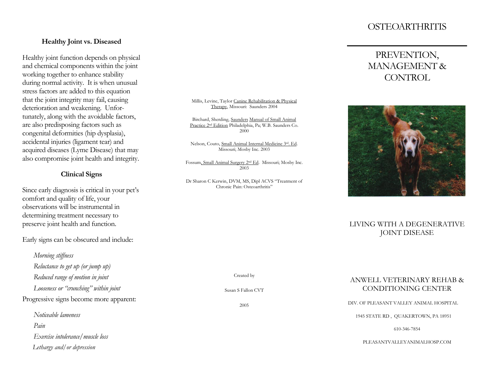## **OSTEOARTHRITIS**

#### **Healthy Joint vs. Diseased**

Healthy joint function depends on physical and chemical components within the joint working together to enhance stability during normal activity. It is when unusual stress factors are added to this equation that the joint integrity may fail, causing deterioration and weakening. Unfortunately, along with the avoidable factors, are also predisposing factors such as congenital deformities (hip dysplasia), accidental injuries (ligament tear) and acquired diseases (Lyme Disease) that may also compromise joint health and integrity.

#### **Clinical Signs**

Since early diagnosis is critical in your pet's comfort and quality of life, your observations will be instrumental in determining treatment necessary to preserve joint health and function.

Early signs can be obscured and include:

- *Morning stiffness Reluctance to get up (or jump up) Reduced range of motion in joint*
- *Looseness or "crunching" within joint*

Progressive signs become more apparent:

*Noticeable lameness Pain Exercise intolerance/muscle loss Lethargy and/or depression*

#### Millis, Levine, Taylor Canine Rehabilitation & Physical Therapy, Missouri: Saunders 2004

Birchard, Sherding, Saunders Manual of Small Animal Practice 2nd Edition Philadelphia, Pa; W.B. Saunders Co. 2000

Nelson, Couto, Small Animal Internal Medicine 3rd. Ed. Missouri; Mosby Inc. 2003

Fossum, Small Animal Surgery 2nd Ed. Missouri; Mosby Inc. 2003

Dr Sharon C Kerwin, DVM, MS, Dipl ACVS "Treatment of Chronic Pain: Osteoarthritis"

# PREVENTION, MANAGEMENT & CONTROL



### LIVING WITH A DEGENERATIVE JOINT DISEASE

Created by

Susan S Fallon CVT

2005

### ANWELL VETERINARY REHAB & CONDITIONING CENTER

DIV. OF PLEASANT VALLEY ANIMAL HOSPITAL

1945 STATE RD , QUAKERTOWN, PA 18951

610-346-7854

PLEASANTVALLEYANIMALHOSP.COM